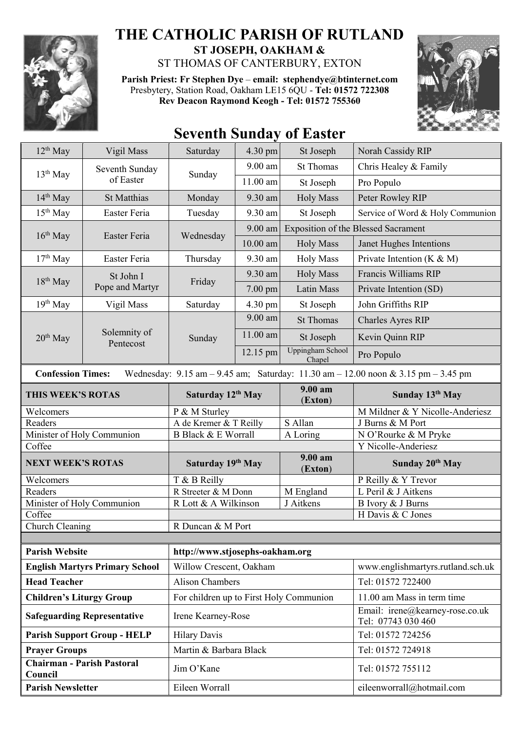

## **THE CATHOLIC PARISH OF RUTLAND ST JOSEPH, OAKHAM &**

ST THOMAS OF CANTERBURY, EXTON

**Parish Priest: Fr Stephen Dye** – **[email: stephendye@btinternet.com](mailto:email:%20%20stephendye@btinternet.com)** Presbytery, Station Road, Oakham LE15 6QU - **Tel: 01572 722308 Rev Deacon Raymond Keogh - Tel: 01572 755360**



# **Seventh Sunday of Easter**

| $12th$ May                                                                                                                                                          | Vigil Mass                   | Saturday                                | 4.30 pm                         | St Joseph                         | Norah Cassidy RIP                                     |  |
|---------------------------------------------------------------------------------------------------------------------------------------------------------------------|------------------------------|-----------------------------------------|---------------------------------|-----------------------------------|-------------------------------------------------------|--|
| $13th$ May                                                                                                                                                          | Seventh Sunday<br>of Easter  | Sunday                                  | $9.00$ am                       | <b>St Thomas</b>                  | Chris Healey & Family                                 |  |
|                                                                                                                                                                     |                              |                                         | 11.00 am                        | St Joseph                         | Pro Populo                                            |  |
| $14th$ May                                                                                                                                                          | <b>St Matthias</b>           | Monday                                  | 9.30 am                         | <b>Holy Mass</b>                  | Peter Rowley RIP                                      |  |
| $15th$ May                                                                                                                                                          | Easter Feria                 | Tuesday                                 | 9.30 am                         | St Joseph                         | Service of Word & Holy Communion                      |  |
| $16th$ May                                                                                                                                                          | Easter Feria                 | Wednesday                               | 9.00 am                         |                                   | <b>Exposition of the Blessed Sacrament</b>            |  |
|                                                                                                                                                                     |                              |                                         | $10.00$ am                      | <b>Holy Mass</b>                  | Janet Hughes Intentions                               |  |
| $17th$ May                                                                                                                                                          | Easter Feria                 | Thursday                                | 9.30 am                         | <b>Holy Mass</b>                  | Private Intention ( $K \& M$ )                        |  |
| $18th$ May                                                                                                                                                          | St John I<br>Pope and Martyr | Friday                                  | 9.30 am                         | <b>Holy Mass</b>                  | Francis Williams RIP                                  |  |
|                                                                                                                                                                     |                              |                                         | $7.00$ pm                       | Latin Mass                        | Private Intention (SD)                                |  |
| $19th$ May                                                                                                                                                          | Vigil Mass                   | Saturday                                | 4.30 pm                         | St Joseph                         | John Griffiths RIP                                    |  |
|                                                                                                                                                                     | Solemnity of<br>Pentecost    | Sunday                                  | 9.00 am                         | <b>St Thomas</b>                  | <b>Charles Ayres RIP</b>                              |  |
| $20th$ May                                                                                                                                                          |                              |                                         | 11.00 am                        | St Joseph                         | Kevin Quinn RIP                                       |  |
|                                                                                                                                                                     |                              |                                         | 12.15 pm                        | <b>Uppingham School</b><br>Chapel | Pro Populo                                            |  |
| Wednesday: $9.15 \text{ am} - 9.45 \text{ am}$ ; Saturday: $11.30 \text{ am} - 12.00 \text{ noon} \& 3.15 \text{ pm} - 3.45 \text{ pm}$<br><b>Confession Times:</b> |                              |                                         |                                 |                                   |                                                       |  |
| THIS WEEK'S ROTAS                                                                                                                                                   |                              | Saturday 12th May                       |                                 | 9.00 am<br>(Exton)                | Sunday 13th May                                       |  |
| Welcomers                                                                                                                                                           |                              | P & M Sturley                           |                                 |                                   | M Mildner & Y Nicolle-Anderiesz                       |  |
| Readers                                                                                                                                                             |                              | A de Kremer & T Reilly                  |                                 | S Allan                           | J Burns & M Port                                      |  |
| Minister of Holy Communion                                                                                                                                          |                              | <b>B Black &amp; E Worrall</b>          |                                 | A Loring                          | N O'Rourke & M Pryke<br>Y Nicolle-Anderiesz           |  |
| Coffee                                                                                                                                                              |                              |                                         |                                 | 9.00 am                           |                                                       |  |
| <b>NEXT WEEK'S ROTAS</b>                                                                                                                                            |                              | Saturday 19th May                       |                                 | (Exton)                           | Sunday 20th May                                       |  |
| Welcomers                                                                                                                                                           |                              | T & B Reilly                            |                                 |                                   | P Reilly & Y Trevor                                   |  |
| Readers                                                                                                                                                             |                              | R Streeter & M Donn                     |                                 | M England                         | L Peril & J Aitkens                                   |  |
| Minister of Holy Communion                                                                                                                                          |                              | R Lott & A Wilkinson                    |                                 | J Aitkens                         | B Ivory & J Burns                                     |  |
| Coffee                                                                                                                                                              |                              | R Duncan & M Port                       |                                 |                                   | H Davis & C Jones                                     |  |
| Church Cleaning                                                                                                                                                     |                              |                                         |                                 |                                   |                                                       |  |
| <b>Parish Website</b>                                                                                                                                               |                              |                                         | http://www.stjosephs-oakham.org |                                   |                                                       |  |
| <b>English Martyrs Primary School</b>                                                                                                                               |                              | Willow Crescent, Oakham                 |                                 |                                   | www.englishmartyrs.rutland.sch.uk                     |  |
| <b>Head Teacher</b>                                                                                                                                                 |                              | <b>Alison Chambers</b>                  |                                 |                                   | Tel: 01572 722400                                     |  |
| <b>Children's Liturgy Group</b>                                                                                                                                     |                              | For children up to First Holy Communion |                                 |                                   | 11.00 am Mass in term time                            |  |
| <b>Safeguarding Representative</b>                                                                                                                                  |                              | Irene Kearney-Rose                      |                                 |                                   | Email: irene@kearney-rose.co.uk<br>Tel: 07743 030 460 |  |
| <b>Parish Support Group - HELP</b>                                                                                                                                  |                              | <b>Hilary Davis</b>                     |                                 |                                   | Tel: 01572 724256                                     |  |
| <b>Prayer Groups</b>                                                                                                                                                |                              | Martin & Barbara Black                  |                                 |                                   | Tel: 01572 724918                                     |  |
| <b>Chairman - Parish Pastoral</b><br>Council                                                                                                                        |                              | Jim O'Kane                              |                                 |                                   | Tel: 01572 755112                                     |  |
| <b>Parish Newsletter</b>                                                                                                                                            |                              | Eileen Worrall                          |                                 |                                   | eileenworrall@hotmail.com                             |  |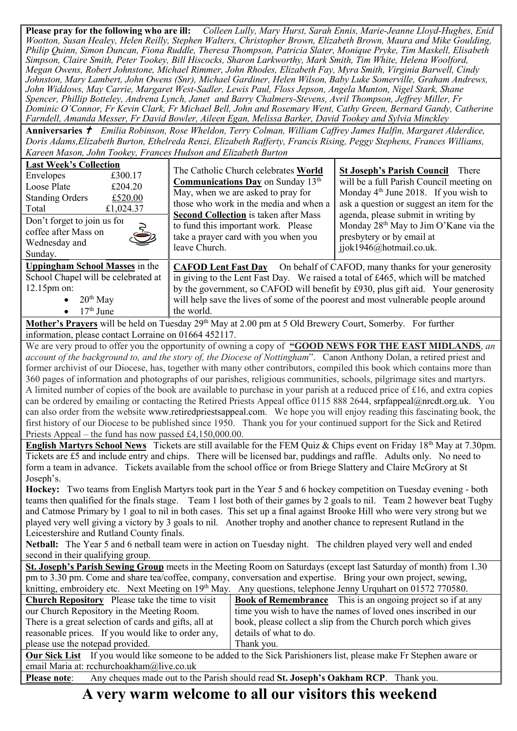**Please pray for the following who are ill:** *Colleen Lully, Mary Hurst, Sarah Ennis, Marie-Jeanne Lloyd-Hughes, Enid Wootton, Susan Healey, Helen Reilly, Stephen Walters, Christopher Brown, Elizabeth Brown, Maura and Mike Goulding, Philip Quinn, Simon Duncan, Fiona Ruddle, Theresa Thompson, Patricia Slater, Monique Pryke, Tim Maskell, Elisabeth Simpson, Claire Smith, Peter Tookey, Bill Hiscocks, Sharon Larkworthy, Mark Smith, Tim White, Helena Woolford, Megan Owens, Robert Johnstone, Michael Rimmer, John Rhodes, Elizabeth Fay, Myra Smith, Virginia Barwell, Cindy Johnston, Mary Lambert, John Owens (Snr), Michael Gardiner, Helen Wilson, Baby Luke Somerville, Graham Andrews, John Widdows, May Carrie, Margaret West-Sadler, Lewis Paul, Floss Jepson, Angela Munton, Nigel Stark, Shane Spencer, Phillip Botteley, Andrena Lynch, Janet and Barry Chalmers-Stevens, Avril Thompson, Jeffrey Miller, Fr Dominic O'Connor, Fr Kevin Clark, Fr Michael Bell, John and Rosemary Went, Cathy Green, Bernard Gandy, Catherine Farndell, Amanda Messer, Fr David Bowler, Aileen Egan, Melissa Barker, David Tookey and Sylvia Minckley*

**Anniversaries**  *Emilia Robinson, Rose Wheldon, Terry Colman, William Caffrey James Halfin, Margaret Alderdice, Doris Adams,Elizabeth Burton, Ethelreda Renzi, Elizabeth Rafferty, Francis Rising, Peggy Stephens, Frances Williams, Kareen Mason, John Tookey, Frances Hudson and Elizabeth Burton*

| <b>Last Week's Collection</b><br>Envelopes<br>£300.17<br>Loose Plate<br>£204.20<br><b>Standing Orders</b><br>£520.00<br>£1,024.37<br>Total<br>Don't forget to join us for<br>coffee after Mass on<br>Wednesday and<br>Sunday. | The Catholic Church celebrates World<br>Communications Day on Sunday 13th<br>May, when we are asked to pray for<br>those who work in the media and when a<br><b>Second Collection</b> is taken after Mass<br>to fund this important work. Please<br>take a prayer card with you when you<br>leave Church.                                                 | <b>St Joseph's Parish Council</b> There<br>will be a full Parish Council meeting on<br>Monday $4th$ June 2018. If you wish to<br>ask a question or suggest an item for the<br>agenda, please submit in writing by<br>Monday 28 <sup>th</sup> May to Jim O'Kane via the<br>presbytery or by email at<br>jjok1946@hotmail.co.uk. |  |  |  |
|-------------------------------------------------------------------------------------------------------------------------------------------------------------------------------------------------------------------------------|-----------------------------------------------------------------------------------------------------------------------------------------------------------------------------------------------------------------------------------------------------------------------------------------------------------------------------------------------------------|--------------------------------------------------------------------------------------------------------------------------------------------------------------------------------------------------------------------------------------------------------------------------------------------------------------------------------|--|--|--|
| Uppingham School Masses in the<br>School Chapel will be celebrated at<br>$12.15$ pm on:<br>$\bullet$ 20 <sup>th</sup> May<br>$\bullet$ 17 <sup>th</sup> June                                                                  | <b>CAFOD Lent Fast Day</b> On behalf of CAFOD, many thanks for your generosity<br>in giving to the Lent Fast Day. We raised a total of £465, which will be matched<br>by the government, so CAFOD will benefit by £930, plus gift aid. Your generosity<br>will help save the lives of some of the poorest and most vulnerable people around<br>the world. |                                                                                                                                                                                                                                                                                                                                |  |  |  |
| Mother's Prayers will be held on Tuesday 29 <sup>th</sup> May at 2.00 pm at 5 Old Brewery Court, Somerby. For further<br>information, please contact Lorraine on 01664 452117.                                                |                                                                                                                                                                                                                                                                                                                                                           |                                                                                                                                                                                                                                                                                                                                |  |  |  |
| We are very proud to offer you the opportunity of owning a copy of "GOOD NEWS FOR THE EAST MIDLANDS, an<br>account of the background to and the story of the Diocese of Nottingham" Capon Anthony Dolan a retired priest and  |                                                                                                                                                                                                                                                                                                                                                           |                                                                                                                                                                                                                                                                                                                                |  |  |  |

*account of the background to, and the story of, the Diocese of Nottingham*". Canon Anthony Dolan, a retired priest and former archivist of our Diocese, has, together with many other contributors, compiled this book which contains more than 360 pages of information and photographs of our parishes, religious communities, schools, pilgrimage sites and martyrs. A limited number of copies of the book are available to purchase in your parish at a reduced price of £16, and extra copies can be ordered by emailing or contacting the Retired Priests Appeal office 0115 888 2644, [srpfappeal@nrcdt.org.uk.](mailto:srpfappeal@nrcdt.org.uk) You can also order from the website [www.retiredpriestsappeal.com.](http://www.retiredpriestsappeal.com/) We hope you will enjoy reading this fascinating book, the first history of our Diocese to be published since 1950. Thank you for your continued support for the Sick and Retired Priests Appeal – the fund has now passed £4,150,000.00.

**English Martyrs School News** Tickets are still available for the FEM Quiz & Chips event on Friday 18th May at 7.30pm. Tickets are £5 and include entry and chips. There will be licensed bar, puddings and raffle. Adults only. No need to form a team in advance. Tickets available from the school office or from Briege Slattery and Claire McGrory at St Joseph's.

**Hockey:** Two teams from English Martyrs took part in the Year 5 and 6 hockey competition on Tuesday evening - both teams then qualified for the finals stage. Team 1 lost both of their games by 2 goals to nil. Team 2 however beat Tugby and Catmose Primary by 1 goal to nil in both cases. This set up a final against Brooke Hill who were very strong but we played very well giving a victory by 3 goals to nil. Another trophy and another chance to represent Rutland in the Leicestershire and Rutland County finals.

**Netball:** The Year 5 and 6 netball team were in action on Tuesday night. The children played very well and ended second in their qualifying group.

**St. Joseph's Parish Sewing Group** meets in the Meeting Room on Saturdays (except last Saturday of month) from 1.30 pm to 3.30 pm. Come and share tea/coffee, company, conversation and expertise. Bring your own project, sewing, knitting, embroidery etc. Next Meeting on  $19<sup>th</sup>$  May. Any questions, telephone Jenny Urquhart on 01572 770580.

| <b>Church Repository</b> Please take the time to visit                                                                    | <b>Book of Remembrance</b> This is an ongoing project so if at any |  |  |  |
|---------------------------------------------------------------------------------------------------------------------------|--------------------------------------------------------------------|--|--|--|
| our Church Repository in the Meeting Room.                                                                                | time you wish to have the names of loved ones inscribed in our     |  |  |  |
| There is a great selection of cards and gifts, all at                                                                     | book, please collect a slip from the Church porch which gives      |  |  |  |
| reasonable prices. If you would like to order any,                                                                        | details of what to do.                                             |  |  |  |
| please use the notepad provided.                                                                                          | Thank you.                                                         |  |  |  |
| <b>Our Sick List</b> If you would like someone to be added to the Sick Parishioners list, please make Fr Stephen aware or |                                                                    |  |  |  |

email Maria at: [rcchurchoakham@live.co.uk](mailto:rcchurchoakham@live.co.uk)

**Please note**: Any cheques made out to the Parish should read **St. Joseph's Oakham RCP**. Thank you.

**A very warm welcome to all our visitors this weekend**